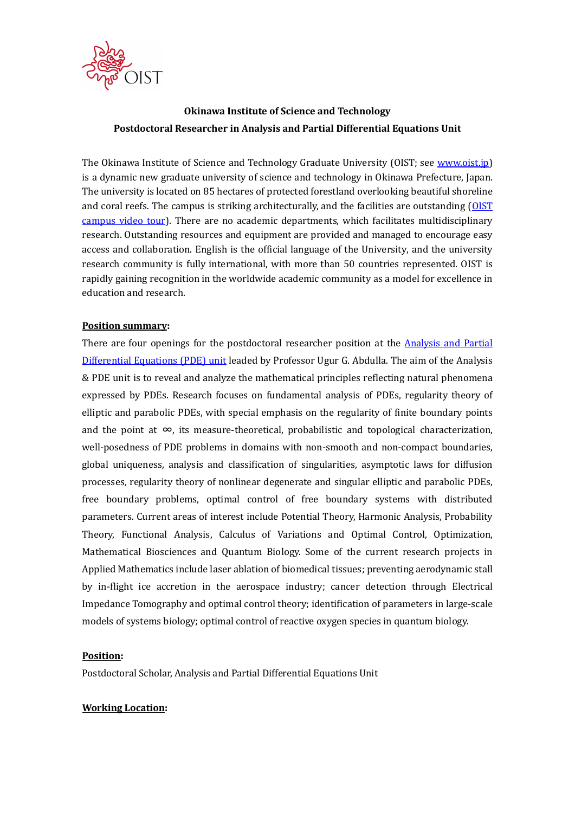

# Okinawa Institute of Science and Technology Postdoctoral Researcher in Analysis and Partial Differential Equations Unit

The Okinawa Institute of Science and Technology Graduate University (OIST; see www.oist.jp) is a dynamic new graduate university of science and technology in Okinawa Prefecture, Japan. The university is located on 85 hectares of protected forestland overlooking beautiful shoreline and coral reefs. The campus is striking architecturally, and the facilities are outstanding (OIST campus video tour). There are no academic departments, which facilitates multidisciplinary research. Outstanding resources and equipment are provided and managed to encourage easy access and collaboration. English is the official language of the University, and the university research community is fully international, with more than 50 countries represented. OIST is rapidly gaining recognition in the worldwide academic community as a model for excellence in education and research.

## Position summary:

There are four openings for the postdoctoral researcher position at the **Analysis and Partial** Differential Equations (PDE) unit leaded by Professor Ugur G. Abdulla. The aim of the Analysis & PDE unit is to reveal and analyze the mathematical principles reflecting natural phenomena expressed by PDEs. Research focuses on fundamental analysis of PDEs, regularity theory of elliptic and parabolic PDEs, with special emphasis on the regularity of finite boundary points and the point at  $\infty$ , its measure-theoretical, probabilistic and topological characterization, well-posedness of PDE problems in domains with non-smooth and non-compact boundaries, global uniqueness, analysis and classification of singularities, asymptotic laws for diffusion processes, regularity theory of nonlinear degenerate and singular elliptic and parabolic PDEs, free boundary problems, optimal control of free boundary systems with distributed parameters. Current areas of interest include Potential Theory, Harmonic Analysis, Probability Theory, Functional Analysis, Calculus of Variations and Optimal Control, Optimization, Mathematical Biosciences and Quantum Biology. Some of the current research projects in Applied Mathematics include laser ablation of biomedical tissues; preventing aerodynamic stall by in-flight ice accretion in the aerospace industry; cancer detection through Electrical Impedance Tomography and optimal control theory; identification of parameters in large-scale models of systems biology; optimal control of reactive oxygen species in quantum biology.

# Position:

Postdoctoral Scholar, Analysis and Partial Differential Equations Unit

#### Working Location: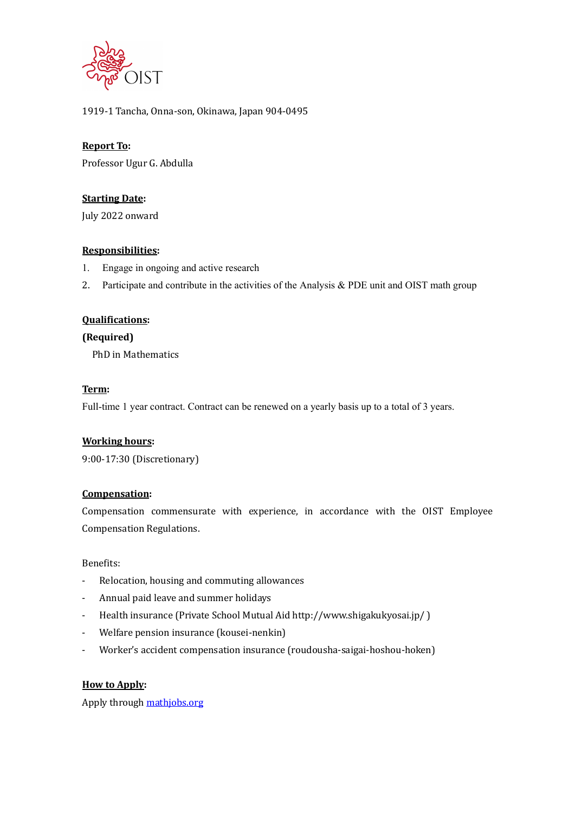

## 1919-1 Tancha, Onna-son, Okinawa, Japan 904-0495

## Report To:

Professor Ugur G. Abdulla

## **Starting Date:**

July 2022 onward

## Responsibilities:

- 1. Engage in ongoing and active research
- 2. Participate and contribute in the activities of the Analysis & PDE unit and OIST math group

## Qualifications:

## (Required)

PhD in Mathematics

#### Term:

Full-time 1 year contract. Contract can be renewed on a yearly basis up to a total of 3 years.

#### Working hours:

9:00-17:30 (Discretionary)

## Compensation:

Compensation commensurate with experience, in accordance with the OIST Employee Compensation Regulations.

Benefits:

- Relocation, housing and commuting allowances
- Annual paid leave and summer holidays
- Health insurance (Private School Mutual Aid http://www.shigakukyosai.jp/ )
- Welfare pension insurance (kousei-nenkin)
- Worker's accident compensation insurance (roudousha-saigai-hoshou-hoken)

# How to Apply:

Apply through mathjobs.org